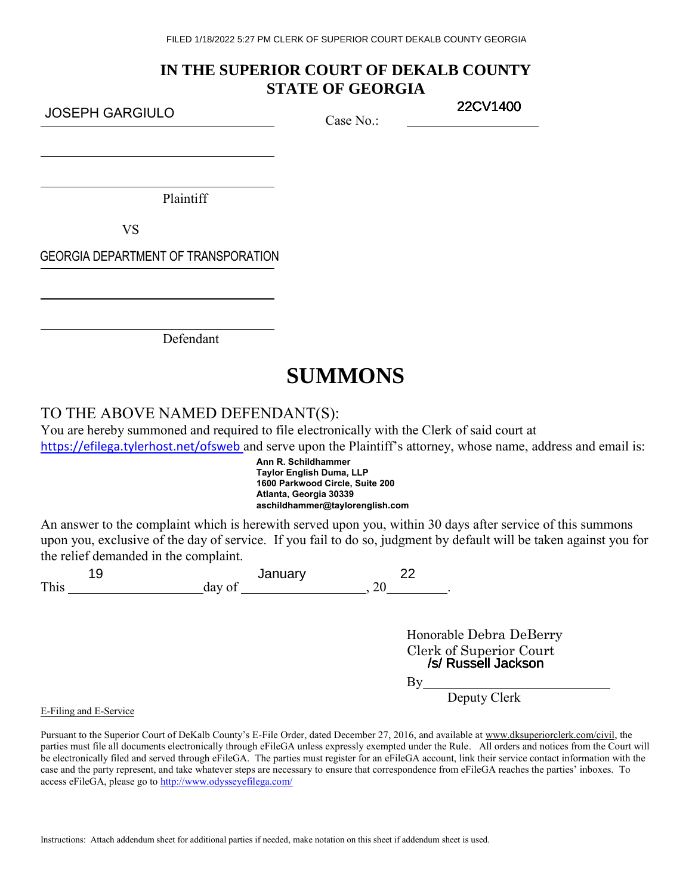# **IN THE SUPERIOR COURT OF DEKALB COUNTY STATE OF GEORGIA**

JOSEPH GARGIULO

Case No.:

22CV1400

Plaintiff

VS

GEORGIA DEPARTMENT OF TRANSPORATION

Defendant

# **SUMMONS**

# TO THE ABOVE NAMED DEFENDANT(S):

You are hereby summoned and required to file electronically with the Clerk of said court at <https://efilega.tylerhost.net/ofsweb>and serve upon the Plaintiff's attorney, whose name, address and email is:

> **Ann R. Schildhammer Taylor English Duma, LLP 1600 Parkwood Circle, Suite 200 Atlanta, Georgia 30339 aschildhammer@taylorenglish.com**

An answer to the complaint which is herewith served upon you, within 30 days after service of this summons upon you, exclusive of the day of service. If you fail to do so, judgment by default will be taken against you for the relief demanded in the complaint.

| J    | January |  |  |  |
|------|---------|--|--|--|
| This | day o   |  |  |  |

Honorable Debra DeBerry Clerk of Superior Court /s/ Russell Jackson

 $By$ <sub>—</sub>

Deputy Clerk

E-Filing and E-Service

Pursuant to the Superior Court of DeKalb County's E-File Order, dated December 27, 2016, and available at www.dksuperiorclerk.com/civil, the parties must file all documents electronically through eFileGA unless expressly exempted under the Rule. All orders and notices from the Court will be electronically filed and served through eFileGA. The parties must register for an eFileGA account, link their service contact information with the case and the party represent, and take whatever steps are necessary to ensure that correspondence from eFileGA reaches the parties' inboxes. To access eFileGA, please go to<http://www.odysseyefilega.com/>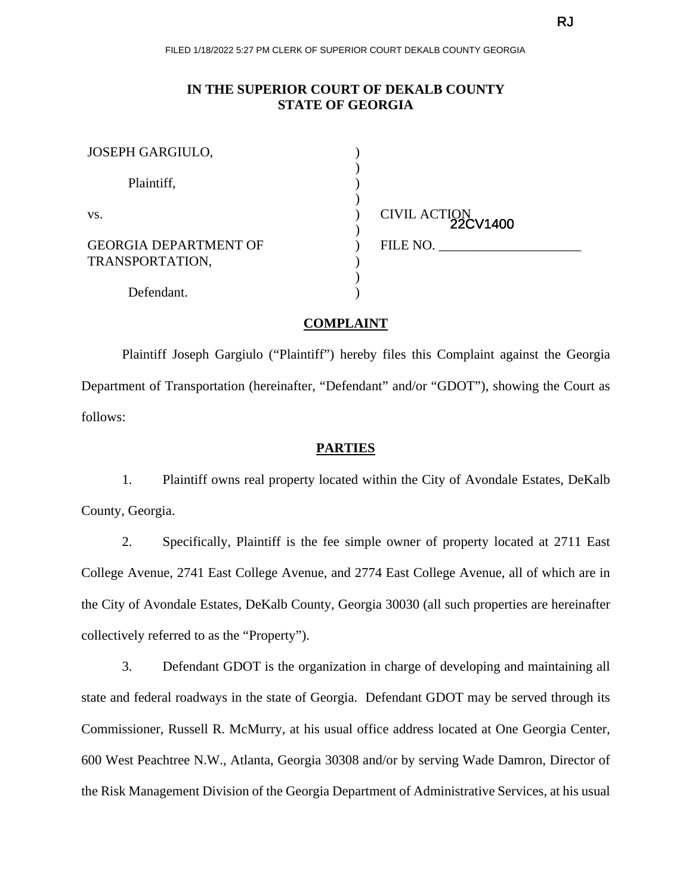# **IN THE SUPERIOR COURT OF DEKALB COUNTY STATE OF GEORGIA**

| JOSEPH GARGIULO,             |                          |
|------------------------------|--------------------------|
| Plaintiff,                   |                          |
| VS.                          | CIVIL ACTION<br>22CV1400 |
| <b>GEORGIA DEPARTMENT OF</b> | FILE NO.                 |
| TRANSPORTATION,              |                          |
| Defendant.                   |                          |

# **COMPLAINT**

Plaintiff Joseph Gargiulo ("Plaintiff") hereby files this Complaint against the Georgia Department of Transportation (hereinafter, "Defendant" and/or "GDOT"), showing the Court as follows:

## **PARTIES**

1. Plaintiff owns real property located within the City of Avondale Estates, DeKalb County, Georgia.

2. Specifically, Plaintiff is the fee simple owner of property located at 2711 East College Avenue, 2741 East College Avenue, and 2774 East College Avenue, all of which are in the City of Avondale Estates, DeKalb County, Georgia 30030 (all such properties are hereinafter collectively referred to as the "Property").

3. Defendant GDOT is the organization in charge of developing and maintaining all state and federal roadways in the state of Georgia. Defendant GDOT may be served through its Commissioner, Russell R. McMurry, at his usual office address located at One Georgia Center, 600 West Peachtree N.W., Atlanta, Georgia 30308 and/or by serving Wade Damron, Director of the Risk Management Division of the Georgia Department of Administrative Services, at his usual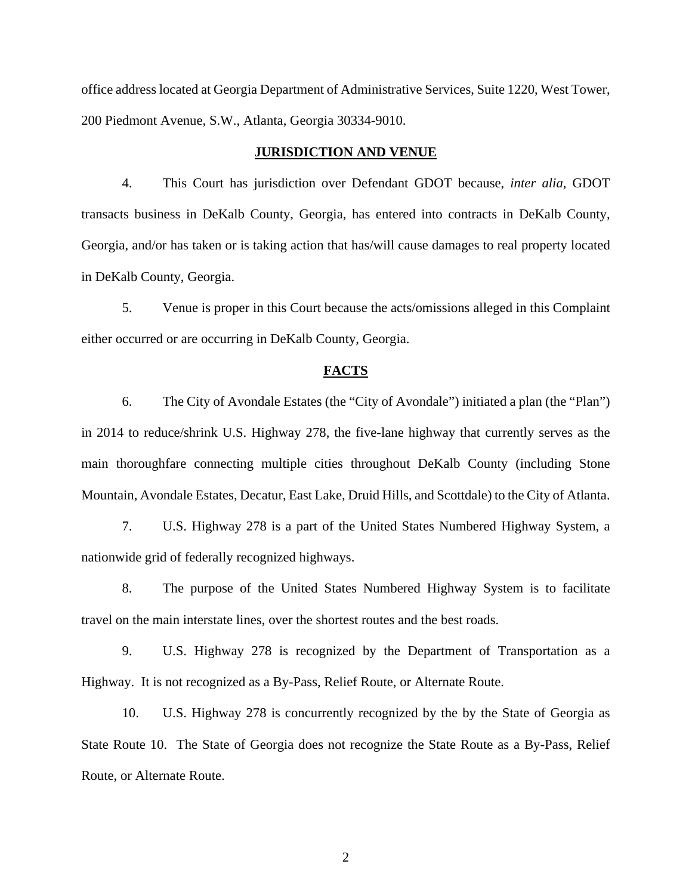office address located at Georgia Department of Administrative Services, Suite 1220, West Tower, 200 Piedmont Avenue, S.W., Atlanta, Georgia 30334-9010.

#### **JURISDICTION AND VENUE**

4. This Court has jurisdiction over Defendant GDOT because, *inter alia*, GDOT transacts business in DeKalb County, Georgia, has entered into contracts in DeKalb County, Georgia, and/or has taken or is taking action that has/will cause damages to real property located in DeKalb County, Georgia.

5. Venue is proper in this Court because the acts/omissions alleged in this Complaint either occurred or are occurring in DeKalb County, Georgia.

#### **FACTS**

6. The City of Avondale Estates (the "City of Avondale") initiated a plan (the "Plan") in 2014 to reduce/shrink U.S. Highway 278, the five-lane highway that currently serves as the main thoroughfare connecting multiple cities throughout DeKalb County (including Stone Mountain, Avondale Estates, Decatur, East Lake, Druid Hills, and Scottdale) to the City of Atlanta.

7. U.S. Highway 278 is a part of the United States Numbered Highway System, a nationwide grid of federally recognized highways.

8. The purpose of the United States Numbered Highway System is to facilitate travel on the main interstate lines, over the shortest routes and the best roads.

9. U.S. Highway 278 is recognized by the Department of Transportation as a Highway. It is not recognized as a By-Pass, Relief Route, or Alternate Route.

10. U.S. Highway 278 is concurrently recognized by the by the State of Georgia as State Route 10. The State of Georgia does not recognize the State Route as a By-Pass, Relief Route, or Alternate Route.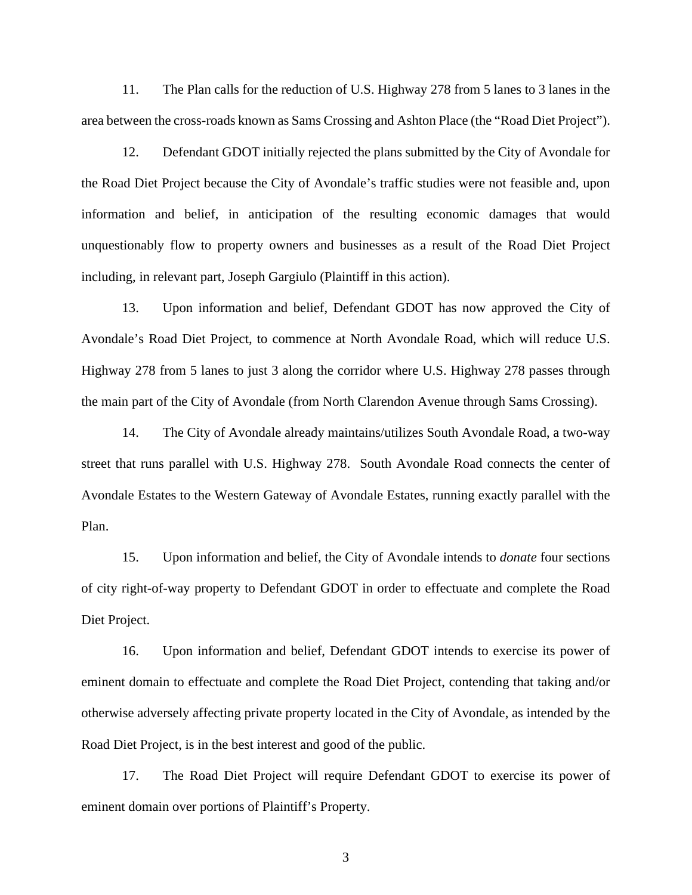11. The Plan calls for the reduction of U.S. Highway 278 from 5 lanes to 3 lanes in the area between the cross-roads known as Sams Crossing and Ashton Place (the "Road Diet Project").

12. Defendant GDOT initially rejected the plans submitted by the City of Avondale for the Road Diet Project because the City of Avondale's traffic studies were not feasible and, upon information and belief, in anticipation of the resulting economic damages that would unquestionably flow to property owners and businesses as a result of the Road Diet Project including, in relevant part, Joseph Gargiulo (Plaintiff in this action).

13. Upon information and belief, Defendant GDOT has now approved the City of Avondale's Road Diet Project, to commence at North Avondale Road, which will reduce U.S. Highway 278 from 5 lanes to just 3 along the corridor where U.S. Highway 278 passes through the main part of the City of Avondale (from North Clarendon Avenue through Sams Crossing).

14. The City of Avondale already maintains/utilizes South Avondale Road, a two-way street that runs parallel with U.S. Highway 278. South Avondale Road connects the center of Avondale Estates to the Western Gateway of Avondale Estates, running exactly parallel with the Plan.

15. Upon information and belief, the City of Avondale intends to *donate* four sections of city right-of-way property to Defendant GDOT in order to effectuate and complete the Road Diet Project.

16. Upon information and belief, Defendant GDOT intends to exercise its power of eminent domain to effectuate and complete the Road Diet Project, contending that taking and/or otherwise adversely affecting private property located in the City of Avondale, as intended by the Road Diet Project, is in the best interest and good of the public.

17. The Road Diet Project will require Defendant GDOT to exercise its power of eminent domain over portions of Plaintiff's Property.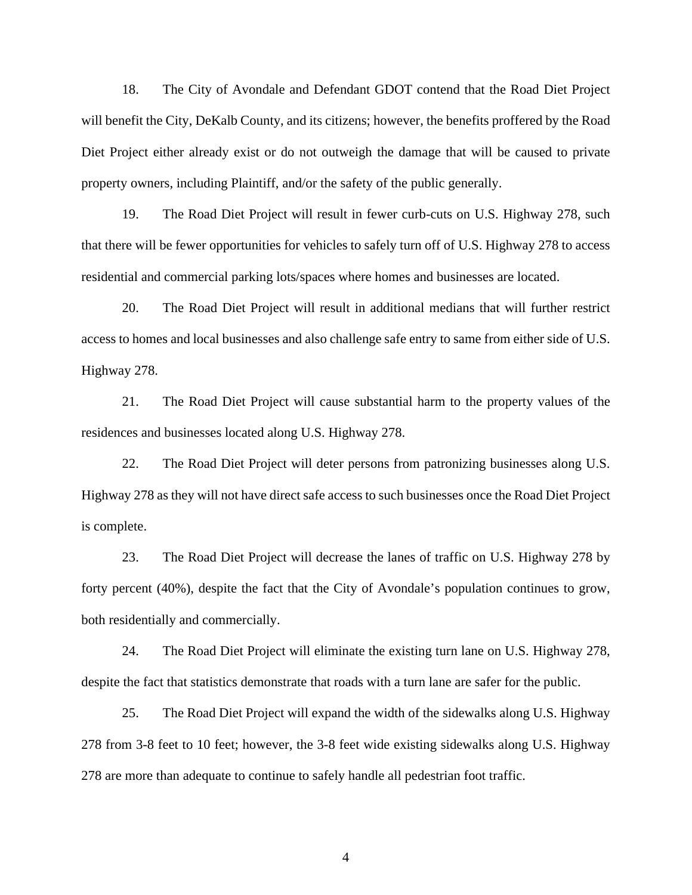18. The City of Avondale and Defendant GDOT contend that the Road Diet Project will benefit the City, DeKalb County, and its citizens; however, the benefits proffered by the Road Diet Project either already exist or do not outweigh the damage that will be caused to private property owners, including Plaintiff, and/or the safety of the public generally.

19. The Road Diet Project will result in fewer curb-cuts on U.S. Highway 278, such that there will be fewer opportunities for vehicles to safely turn off of U.S. Highway 278 to access residential and commercial parking lots/spaces where homes and businesses are located.

20. The Road Diet Project will result in additional medians that will further restrict access to homes and local businesses and also challenge safe entry to same from either side of U.S. Highway 278.

21. The Road Diet Project will cause substantial harm to the property values of the residences and businesses located along U.S. Highway 278.

22. The Road Diet Project will deter persons from patronizing businesses along U.S. Highway 278 as they will not have direct safe access to such businesses once the Road Diet Project is complete.

23. The Road Diet Project will decrease the lanes of traffic on U.S. Highway 278 by forty percent (40%), despite the fact that the City of Avondale's population continues to grow, both residentially and commercially.

24. The Road Diet Project will eliminate the existing turn lane on U.S. Highway 278, despite the fact that statistics demonstrate that roads with a turn lane are safer for the public.

25. The Road Diet Project will expand the width of the sidewalks along U.S. Highway 278 from 3-8 feet to 10 feet; however, the 3-8 feet wide existing sidewalks along U.S. Highway 278 are more than adequate to continue to safely handle all pedestrian foot traffic.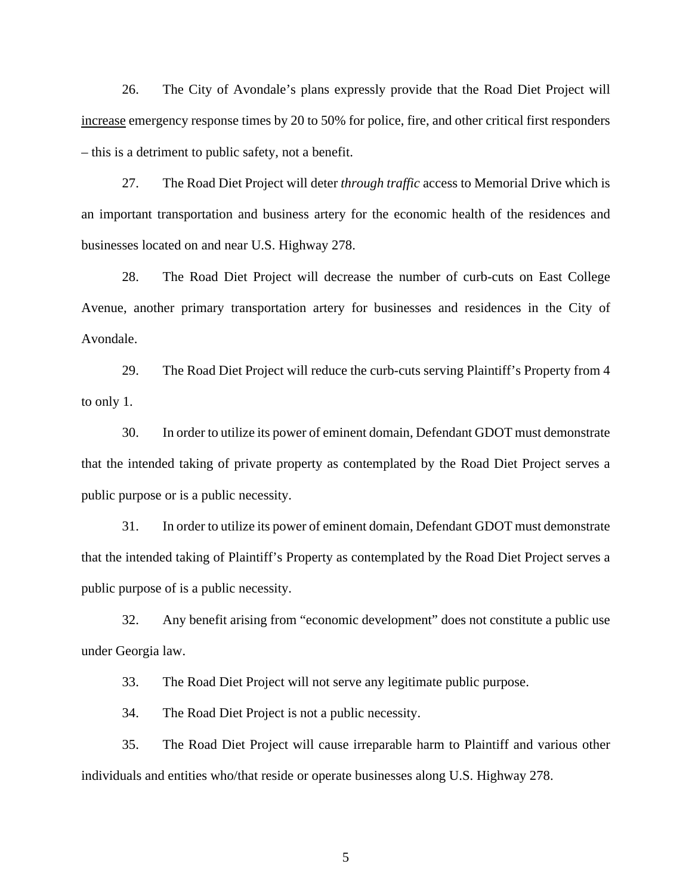26. The City of Avondale's plans expressly provide that the Road Diet Project will increase emergency response times by 20 to 50% for police, fire, and other critical first responders – this is a detriment to public safety, not a benefit.

27. The Road Diet Project will deter *through traffic* access to Memorial Drive which is an important transportation and business artery for the economic health of the residences and businesses located on and near U.S. Highway 278.

28. The Road Diet Project will decrease the number of curb-cuts on East College Avenue, another primary transportation artery for businesses and residences in the City of Avondale.

29. The Road Diet Project will reduce the curb-cuts serving Plaintiff's Property from 4 to only 1.

30. In order to utilize its power of eminent domain, Defendant GDOT must demonstrate that the intended taking of private property as contemplated by the Road Diet Project serves a public purpose or is a public necessity.

31. In order to utilize its power of eminent domain, Defendant GDOT must demonstrate that the intended taking of Plaintiff's Property as contemplated by the Road Diet Project serves a public purpose of is a public necessity.

32. Any benefit arising from "economic development" does not constitute a public use under Georgia law.

33. The Road Diet Project will not serve any legitimate public purpose.

34. The Road Diet Project is not a public necessity.

35. The Road Diet Project will cause irreparable harm to Plaintiff and various other individuals and entities who/that reside or operate businesses along U.S. Highway 278.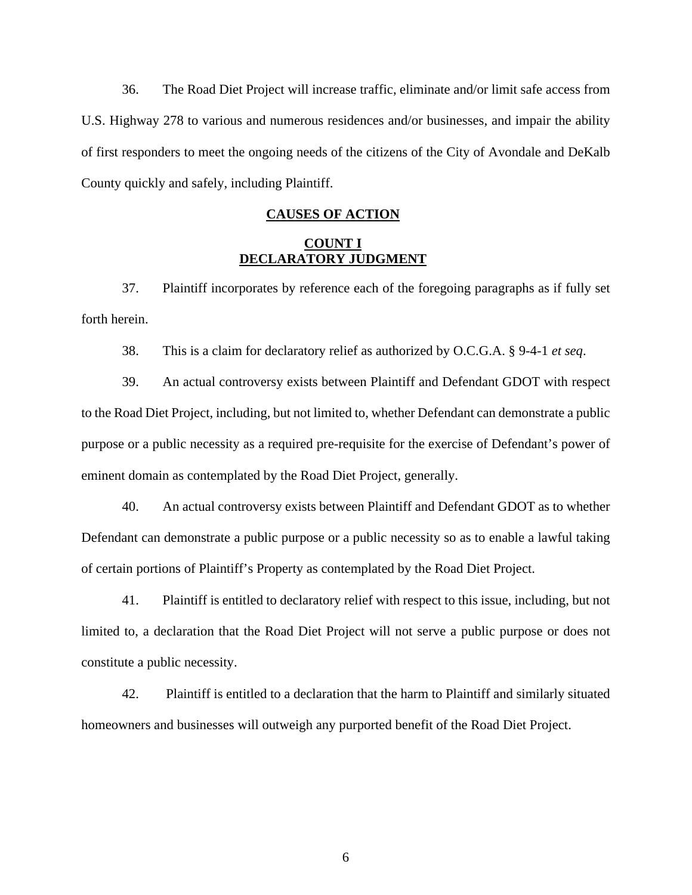36. The Road Diet Project will increase traffic, eliminate and/or limit safe access from U.S. Highway 278 to various and numerous residences and/or businesses, and impair the ability of first responders to meet the ongoing needs of the citizens of the City of Avondale and DeKalb County quickly and safely, including Plaintiff.

# **CAUSES OF ACTION**

## **COUNT I DECLARATORY JUDGMENT**

37. Plaintiff incorporates by reference each of the foregoing paragraphs as if fully set forth herein.

38. This is a claim for declaratory relief as authorized by O.C.G.A. § 9-4-1 *et seq*.

39. An actual controversy exists between Plaintiff and Defendant GDOT with respect to the Road Diet Project, including, but not limited to, whether Defendant can demonstrate a public purpose or a public necessity as a required pre-requisite for the exercise of Defendant's power of eminent domain as contemplated by the Road Diet Project, generally.

40. An actual controversy exists between Plaintiff and Defendant GDOT as to whether Defendant can demonstrate a public purpose or a public necessity so as to enable a lawful taking of certain portions of Plaintiff's Property as contemplated by the Road Diet Project.

41. Plaintiff is entitled to declaratory relief with respect to this issue, including, but not limited to, a declaration that the Road Diet Project will not serve a public purpose or does not constitute a public necessity.

42. Plaintiff is entitled to a declaration that the harm to Plaintiff and similarly situated homeowners and businesses will outweigh any purported benefit of the Road Diet Project.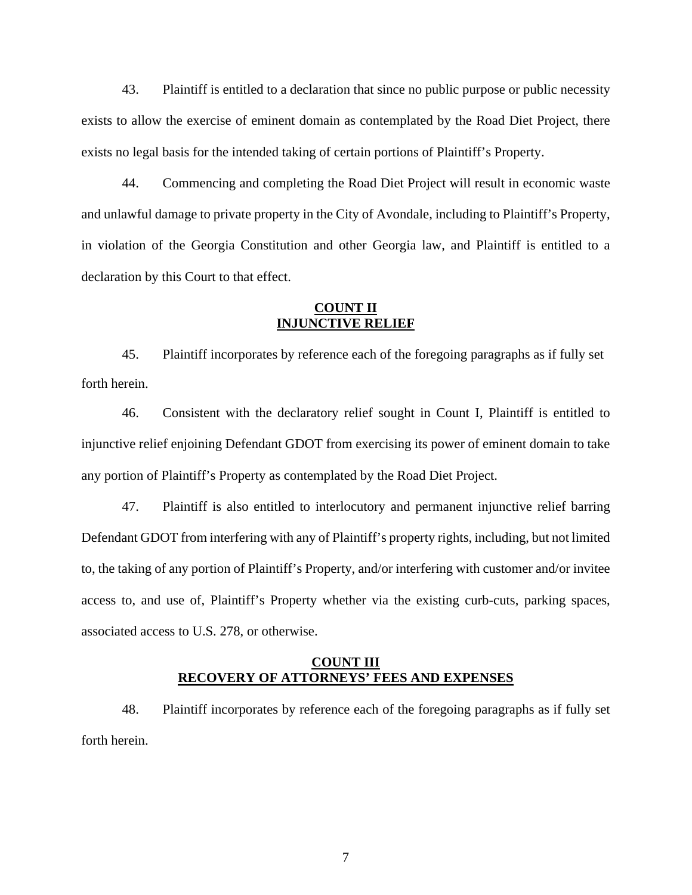43. Plaintiff is entitled to a declaration that since no public purpose or public necessity exists to allow the exercise of eminent domain as contemplated by the Road Diet Project, there exists no legal basis for the intended taking of certain portions of Plaintiff's Property.

44. Commencing and completing the Road Diet Project will result in economic waste and unlawful damage to private property in the City of Avondale, including to Plaintiff's Property, in violation of the Georgia Constitution and other Georgia law, and Plaintiff is entitled to a declaration by this Court to that effect.

### **COUNT II INJUNCTIVE RELIEF**

45. Plaintiff incorporates by reference each of the foregoing paragraphs as if fully set forth herein.

46. Consistent with the declaratory relief sought in Count I, Plaintiff is entitled to injunctive relief enjoining Defendant GDOT from exercising its power of eminent domain to take any portion of Plaintiff's Property as contemplated by the Road Diet Project.

47. Plaintiff is also entitled to interlocutory and permanent injunctive relief barring Defendant GDOT from interfering with any of Plaintiff's property rights, including, but not limited to, the taking of any portion of Plaintiff's Property, and/or interfering with customer and/or invitee access to, and use of, Plaintiff's Property whether via the existing curb-cuts, parking spaces, associated access to U.S. 278, or otherwise.

# **COUNT III RECOVERY OF ATTORNEYS' FEES AND EXPENSES**

48. Plaintiff incorporates by reference each of the foregoing paragraphs as if fully set forth herein.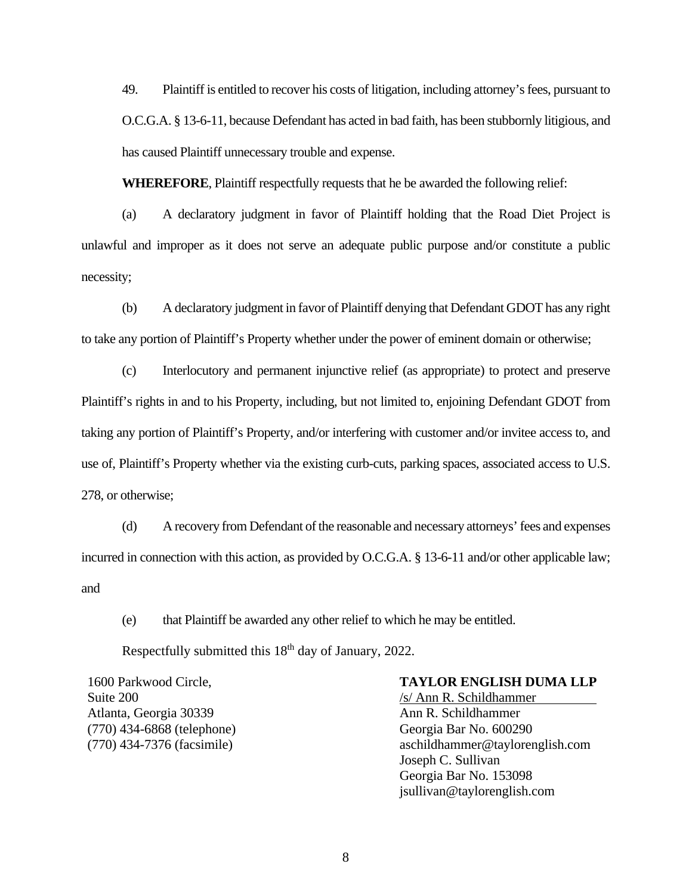49. Plaintiff is entitled to recover his costs of litigation, including attorney's fees, pursuant to O.C.G.A. § 13-6-11, because Defendant has acted in bad faith, has been stubbornly litigious, and has caused Plaintiff unnecessary trouble and expense.

**WHEREFORE**, Plaintiff respectfully requests that he be awarded the following relief:

(a) A declaratory judgment in favor of Plaintiff holding that the Road Diet Project is unlawful and improper as it does not serve an adequate public purpose and/or constitute a public necessity;

(b) A declaratory judgment in favor of Plaintiff denying that Defendant GDOT has any right to take any portion of Plaintiff's Property whether under the power of eminent domain or otherwise;

(c) Interlocutory and permanent injunctive relief (as appropriate) to protect and preserve Plaintiff's rights in and to his Property, including, but not limited to, enjoining Defendant GDOT from taking any portion of Plaintiff's Property, and/or interfering with customer and/or invitee access to, and use of, Plaintiff's Property whether via the existing curb-cuts, parking spaces, associated access to U.S. 278, or otherwise;

(d) A recovery from Defendant of the reasonable and necessary attorneys' fees and expenses incurred in connection with this action, as provided by O.C.G.A. § 13-6-11 and/or other applicable law; and

(e) that Plaintiff be awarded any other relief to which he may be entitled.

Respectfully submitted this 18<sup>th</sup> day of January, 2022.

1600 Parkwood Circle, Suite 200 Atlanta, Georgia 30339 (770) 434-6868 (telephone) (770) 434-7376 (facsimile)

# **TAYLOR ENGLISH DUMA LLP**

/s/ Ann R. Schildhammer Ann R. Schildhammer Georgia Bar No. 600290 aschildhammer@taylorenglish.com Joseph C. Sullivan Georgia Bar No. 153098 jsullivan@taylorenglish.com